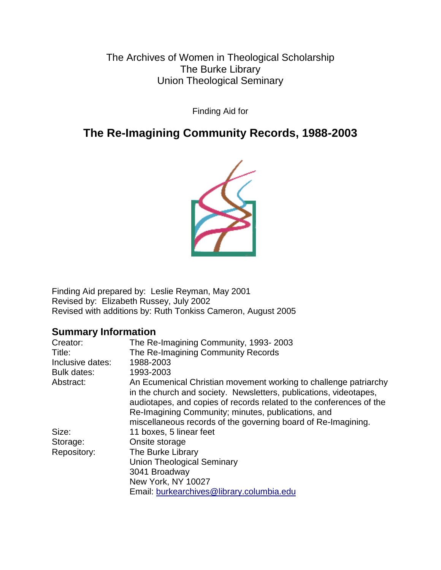The Archives of Women in Theological Scholarship The Burke Library Union Theological Seminary

Finding Aid for

# **The Re-Imagining Community Records, 1988-2003**



Finding Aid prepared by: Leslie Reyman, May 2001 Revised by: Elizabeth Russey, July 2002 Revised with additions by: Ruth Tonkiss Cameron, August 2005

# **Summary Information**

| Creator:           | The Re-Imagining Community, 1993-2003                                                                                                                                                                                                                                                                                               |
|--------------------|-------------------------------------------------------------------------------------------------------------------------------------------------------------------------------------------------------------------------------------------------------------------------------------------------------------------------------------|
| Title:             | The Re-Imagining Community Records                                                                                                                                                                                                                                                                                                  |
| Inclusive dates:   | 1988-2003                                                                                                                                                                                                                                                                                                                           |
| <b>Bulk dates:</b> | 1993-2003                                                                                                                                                                                                                                                                                                                           |
| Abstract:          | An Ecumenical Christian movement working to challenge patriarchy<br>in the church and society. Newsletters, publications, videotapes,<br>audiotapes, and copies of records related to the conferences of the<br>Re-Imagining Community; minutes, publications, and<br>miscellaneous records of the governing board of Re-Imagining. |
| Size:              | 11 boxes, 5 linear feet                                                                                                                                                                                                                                                                                                             |
| Storage:           | Onsite storage                                                                                                                                                                                                                                                                                                                      |
| Repository:        | The Burke Library                                                                                                                                                                                                                                                                                                                   |
|                    | <b>Union Theological Seminary</b>                                                                                                                                                                                                                                                                                                   |
|                    | 3041 Broadway                                                                                                                                                                                                                                                                                                                       |
|                    | New York, NY 10027                                                                                                                                                                                                                                                                                                                  |
|                    | Email: burkearchives@library.columbia.edu                                                                                                                                                                                                                                                                                           |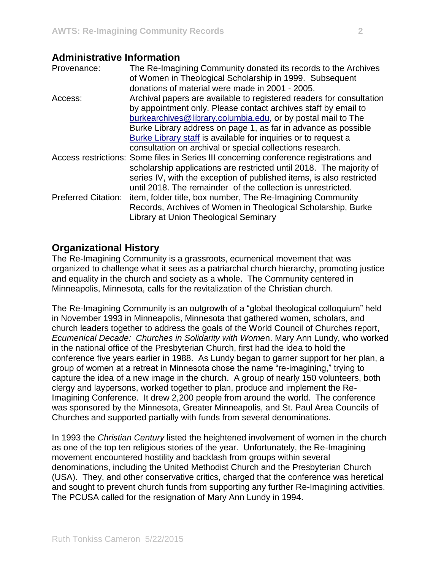# **Administrative Information**

| Provenance:                | The Re-Imagining Community donated its records to the Archives<br>of Women in Theological Scholarship in 1999. Subsequent<br>donations of material were made in 2001 - 2005.                                                                                                                                                                                                                            |
|----------------------------|---------------------------------------------------------------------------------------------------------------------------------------------------------------------------------------------------------------------------------------------------------------------------------------------------------------------------------------------------------------------------------------------------------|
| Access:                    | Archival papers are available to registered readers for consultation<br>by appointment only. Please contact archives staff by email to<br>burkearchives@library.columbia.edu, or by postal mail to The<br>Burke Library address on page 1, as far in advance as possible<br>Burke Library staff is available for inquiries or to request a<br>consultation on archival or special collections research. |
|                            | Access restrictions: Some files in Series III concerning conference registrations and<br>scholarship applications are restricted until 2018. The majority of<br>series IV, with the exception of published items, is also restricted<br>until 2018. The remainder of the collection is unrestricted.                                                                                                    |
| <b>Preferred Citation:</b> | item, folder title, box number, The Re-Imagining Community<br>Records, Archives of Women in Theological Scholarship, Burke<br><b>Library at Union Theological Seminary</b>                                                                                                                                                                                                                              |

# **Organizational History**

The Re-Imagining Community is a grassroots, ecumenical movement that was organized to challenge what it sees as a patriarchal church hierarchy, promoting justice and equality in the church and society as a whole. The Community centered in Minneapolis, Minnesota, calls for the revitalization of the Christian church.

The Re-Imagining Community is an outgrowth of a "global theological colloquium" held in November 1993 in Minneapolis, Minnesota that gathered women, scholars, and church leaders together to address the goals of the World Council of Churches report, *Ecumenical Decade: Churches in Solidarity with Wome*n. Mary Ann Lundy, who worked in the national office of the Presbyterian Church, first had the idea to hold the conference five years earlier in 1988. As Lundy began to garner support for her plan, a group of women at a retreat in Minnesota chose the name "re-imagining," trying to capture the idea of a new image in the church. A group of nearly 150 volunteers, both clergy and laypersons, worked together to plan, produce and implement the Re-Imagining Conference. It drew 2,200 people from around the world. The conference was sponsored by the Minnesota, Greater Minneapolis, and St. Paul Area Councils of Churches and supported partially with funds from several denominations.

In 1993 the *Christian Century* listed the heightened involvement of women in the church as one of the top ten religious stories of the year. Unfortunately, the Re-Imagining movement encountered hostility and backlash from groups within several denominations, including the United Methodist Church and the Presbyterian Church (USA). They, and other conservative critics, charged that the conference was heretical and sought to prevent church funds from supporting any further Re-Imagining activities. The PCUSA called for the resignation of Mary Ann Lundy in 1994.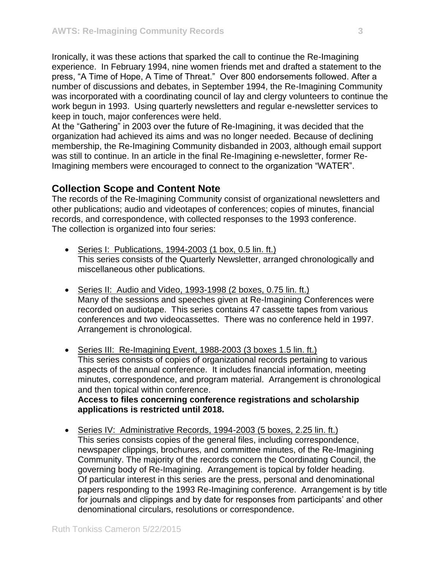Ironically, it was these actions that sparked the call to continue the Re-Imagining experience. In February 1994, nine women friends met and drafted a statement to the press, "A Time of Hope, A Time of Threat." Over 800 endorsements followed. After a number of discussions and debates, in September 1994, the Re-Imagining Community was incorporated with a coordinating council of lay and clergy volunteers to continue the work begun in 1993. Using quarterly newsletters and regular e-newsletter services to keep in touch, major conferences were held.

At the "Gathering" in 2003 over the future of Re-Imagining, it was decided that the organization had achieved its aims and was no longer needed. Because of declining membership, the Re-Imagining Community disbanded in 2003, although email support was still to continue. In an article in the final Re-Imagining e-newsletter, former Re-Imagining members were encouraged to connect to the organization "WATER".

# **Collection Scope and Content Note**

The records of the Re-Imagining Community consist of organizational newsletters and other publications; audio and videotapes of conferences; copies of minutes, financial records, and correspondence, with collected responses to the 1993 conference. The collection is organized into four series:

- Series I: Publications, 1994-2003 (1 box, 0.5 lin. ft.) This series consists of the Quarterly Newsletter, arranged chronologically and miscellaneous other publications.
- Series II: Audio and Video, 1993-1998 (2 boxes, 0.75 lin. ft.) Many of the sessions and speeches given at Re-Imagining Conferences were recorded on audiotape. This series contains 47 cassette tapes from various conferences and two videocassettes. There was no conference held in 1997. Arrangement is chronological.
- Series III: Re-Imagining Event, 1988-2003 (3 boxes 1.5 lin. ft.) This series consists of copies of organizational records pertaining to various aspects of the annual conference. It includes financial information, meeting minutes, correspondence, and program material. Arrangement is chronological and then topical within conference.

**Access to files concerning conference registrations and scholarship applications is restricted until 2018.**

• Series IV: Administrative Records, 1994-2003 (5 boxes, 2.25 lin. ft.) This series consists copies of the general files, including correspondence, newspaper clippings, brochures, and committee minutes, of the Re-Imagining Community. The majority of the records concern the Coordinating Council, the governing body of Re-Imagining. Arrangement is topical by folder heading. Of particular interest in this series are the press, personal and denominational papers responding to the 1993 Re-Imagining conference. Arrangement is by title for journals and clippings and by date for responses from participants' and other denominational circulars, resolutions or correspondence.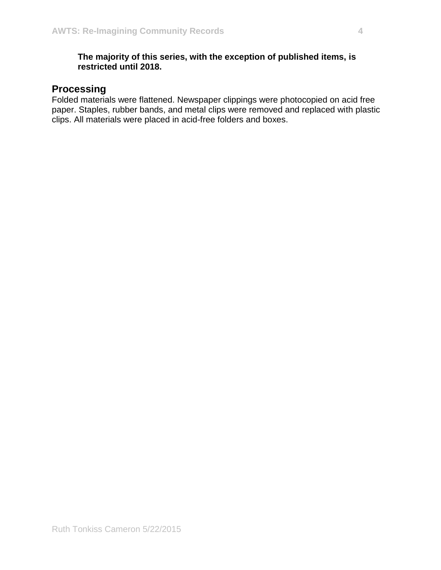# **The majority of this series, with the exception of published items, is restricted until 2018.**

# **Processing**

Folded materials were flattened. Newspaper clippings were photocopied on acid free paper. Staples, rubber bands, and metal clips were removed and replaced with plastic clips. All materials were placed in acid-free folders and boxes.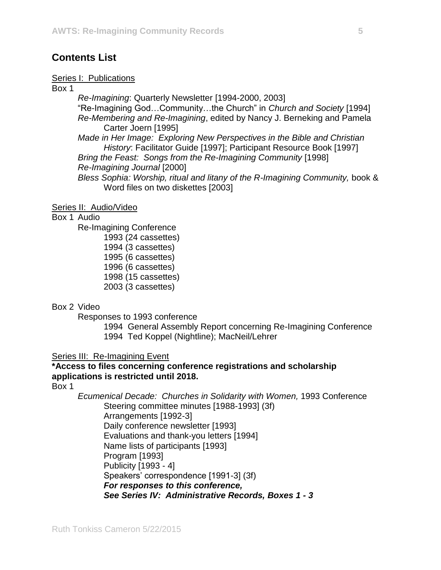# **Contents List**

#### Series I: Publications

Box 1

*Re-Imagining*: Quarterly Newsletter [1994-2000, 2003] "Re-Imagining God…Community…the Church" in *Church and Society* [1994] *Re-Membering and Re-Imagining*, edited by Nancy J. Berneking and Pamela Carter Joern [1995] *Made in Her Image: Exploring New Perspectives in the Bible and Christian History*: Facilitator Guide [1997]; Participant Resource Book [1997] *Bring the Feast: Songs from the Re-Imagining Community* [1998] *Re-Imagining Journal* [2000] *Bless Sophia: Worship, ritual and litany of the R-Imagining Community,* book & Word files on two diskettes [2003]

#### Series II: Audio/Video

Box 1 Audio

Re-Imagining Conference 1993 (24 cassettes) 1994 (3 cassettes) 1995 (6 cassettes) 1996 (6 cassettes) 1998 (15 cassettes) 2003 (3 cassettes)

### Box 2 Video

Responses to 1993 conference

1994 General Assembly Report concerning Re-Imagining Conference 1994 Ted Koppel (Nightline); MacNeil/Lehrer

### Series III: Re-Imagining Event

# **\*Access to files concerning conference registrations and scholarship applications is restricted until 2018.**

Box 1

*Ecumenical Decade: Churches in Solidarity with Women,* 1993 Conference Steering committee minutes [1988-1993] (3f) Arrangements [1992-3] Daily conference newsletter [1993] Evaluations and thank-you letters [1994] Name lists of participants [1993] Program [1993] Publicity [1993 - 4] Speakers' correspondence [1991-3] (3f) *For responses to this conference, See Series IV: Administrative Records, Boxes 1 - 3*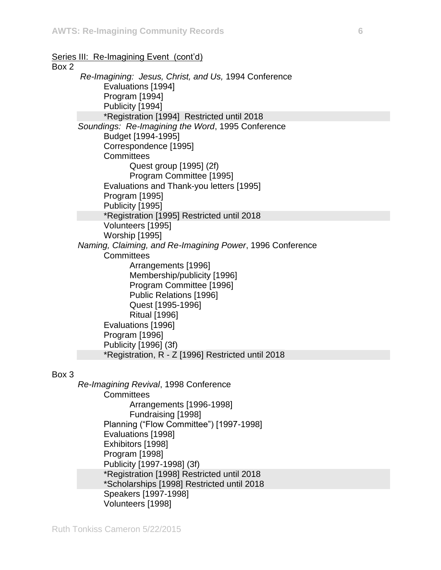#### Series III: Re-Imagining Event (cont'd)

## Box 2

*Re-Imagining: Jesus, Christ, and Us,* 1994 Conference Evaluations [1994] Program [1994] Publicity [1994] \*Registration [1994] Restricted until 2018 *Soundings: Re-Imagining the Word*, 1995 Conference Budget [1994-1995] Correspondence [1995] **Committees** Quest group [1995] (2f) Program Committee [1995] Evaluations and Thank-you letters [1995] Program [1995] Publicity [1995] \*Registration [1995] Restricted until 2018 Volunteers [1995] Worship [1995] *Naming, Claiming, and Re-Imagining Power*, 1996 Conference **Committees** Arrangements [1996] Membership/publicity [1996] Program Committee [1996] Public Relations [1996] Quest [1995-1996] Ritual [1996] Evaluations [1996] Program [1996] Publicity [1996] (3f) \*Registration, R - Z [1996] Restricted until 2018

#### Box 3

*Re-Imagining Revival*, 1998 Conference **Committees** Arrangements [1996-1998] Fundraising [1998] Planning ("Flow Committee") [1997-1998] Evaluations [1998] Exhibitors [1998] Program [1998] Publicity [1997-1998] (3f) \*Registration [1998] Restricted until 2018 \*Scholarships [1998] Restricted until 2018 Speakers [1997-1998] Volunteers [1998]